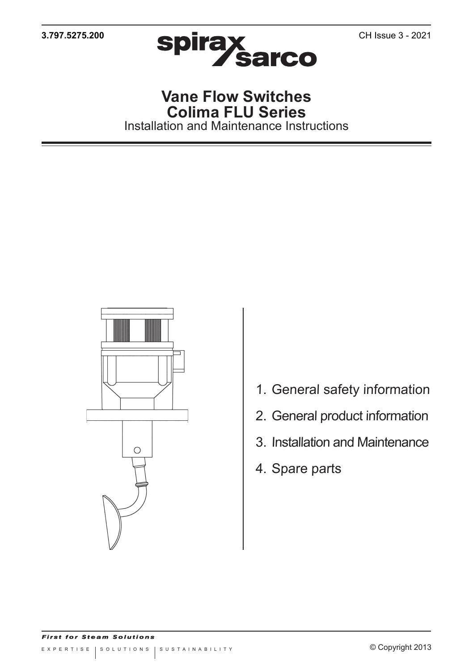

## **Vane Flow Switches Colima FLU Series** Installation and Maintenance Instructions



- 1. General safety information
- 2. General product information
- 3. Installation and Maintenance
- 4. Spare parts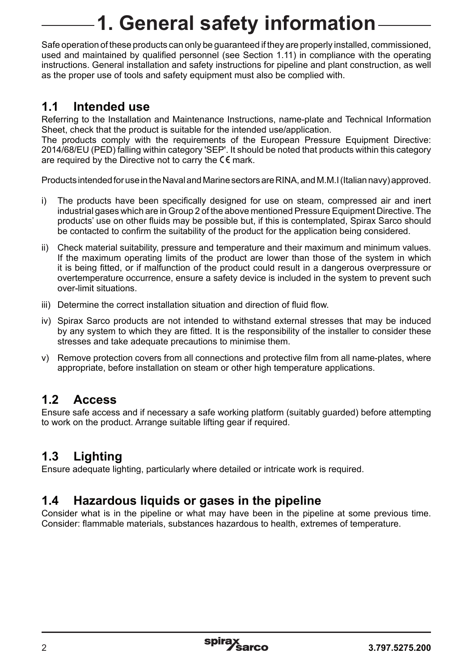# **1. General safety information**

Safe operation of these products can only be guaranteed if they are properly installed, commissioned, used and maintained by qualified personnel (see Section 1.11) in compliance with the operating instructions. General installation and safety instructions for pipeline and plant construction, as well as the proper use of tools and safety equipment must also be complied with.

## **1.1 Intended use**

Referring to the Installation and Maintenance Instructions, name-plate and Technical Information Sheet, check that the product is suitable for the intended use/application.

The products comply with the requirements of the European Pressure Equipment Directive: 2014/68/EU (PED) falling within category 'SEP'. It should be noted that products within this category are required by the Directive not to carry the  $\zeta \epsilon$  mark.

Products intended for use in the Naval and Marine sectors are RINA, and M.M.I (Italian navy) approved.

- i) The products have been specifically designed for use on steam, compressed air and inert industrial gases which are in Group 2 of the above mentioned Pressure Equipment Directive. The products' use on other fluids may be possible but, if this is contemplated, Spirax Sarco should be contacted to confirm the suitability of the product for the application being considered.
- ii) Check material suitability, pressure and temperature and their maximum and minimum values. If the maximum operating limits of the product are lower than those of the system in which it is being fitted, or if malfunction of the product could result in a dangerous overpressure or overtemperature occurrence, ensure a safety device is included in the system to prevent such over-limit situations.
- iii) Determine the correct installation situation and direction of fluid flow.
- iv) Spirax Sarco products are not intended to withstand external stresses that may be induced by any system to which they are fitted. It is the responsibility of the installer to consider these stresses and take adequate precautions to minimise them.
- v) Remove protection covers from all connections and protective film from all name-plates, where appropriate, before installation on steam or other high temperature applications.

## **1.2 Access**

Ensure safe access and if necessary a safe working platform (suitably guarded) before attempting to work on the product. Arrange suitable lifting gear if required.

## **1.3 Lighting**

Ensure adequate lighting, particularly where detailed or intricate work is required.

## **1.4 Hazardous liquids or gases in the pipeline**

Consider what is in the pipeline or what may have been in the pipeline at some previous time. Consider: flammable materials, substances hazardous to health, extremes of temperature.

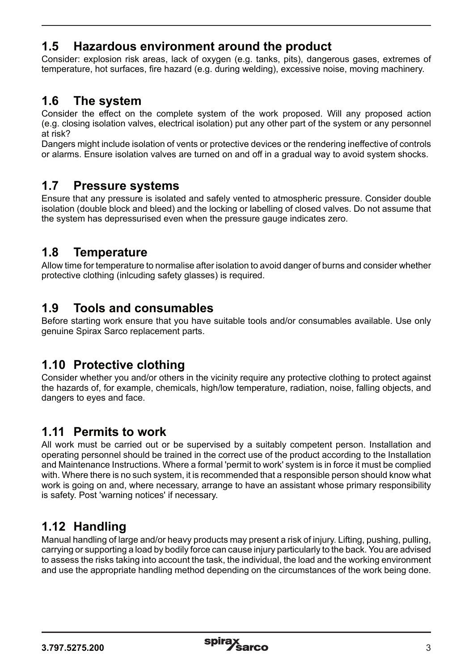## **1.5 Hazardous environment around the product**

Consider: explosion risk areas, lack of oxygen (e.g. tanks, pits), dangerous gases, extremes of temperature, hot surfaces, fire hazard (e.g. during welding), excessive noise, moving machinery.

## **1.6 The system**

Consider the effect on the complete system of the work proposed. Will any proposed action (e.g. closing isolation valves, electrical isolation) put any other part of the system or any personnel at risk?

Dangers might include isolation of vents or protective devices or the rendering ineffective of controls or alarms. Ensure isolation valves are turned on and off in a gradual way to avoid system shocks.

### **1.7 Pressure systems**

Ensure that any pressure is isolated and safely vented to atmospheric pressure. Consider double isolation (double block and bleed) and the locking or labelling of closed valves. Do not assume that the system has depressurised even when the pressure gauge indicates zero.

### **1.8 Temperature**

Allow time for temperature to normalise after isolation to avoid danger of burns and consider whether protective clothing (inlcuding safety glasses) is required.

## **1.9 Tools and consumables**

Before starting work ensure that you have suitable tools and/or consumables available. Use only genuine Spirax Sarco replacement parts.

## **1.10 Protective clothing**

Consider whether you and/or others in the vicinity require any protective clothing to protect against the hazards of, for example, chemicals, high/low temperature, radiation, noise, falling objects, and dangers to eyes and face.

## **1.11 Permits to work**

All work must be carried out or be supervised by a suitably competent person. Installation and operating personnel should be trained in the correct use of the product according to the Installation and Maintenance Instructions. Where a formal 'permit to work' system is in force it must be complied with. Where there is no such system, it is recommended that a responsible person should know what work is going on and, where necessary, arrange to have an assistant whose primary responsibility is safety. Post 'warning notices' if necessary.

## **1.12 Handling**

Manual handling of large and/or heavy products may present a risk of injury. Lifting, pushing, pulling, carrying or supporting a load by bodily force can cause injury particularly to the back. You are advised to assess the risks taking into account the task, the individual, the load and the working environment and use the appropriate handling method depending on the circumstances of the work being done.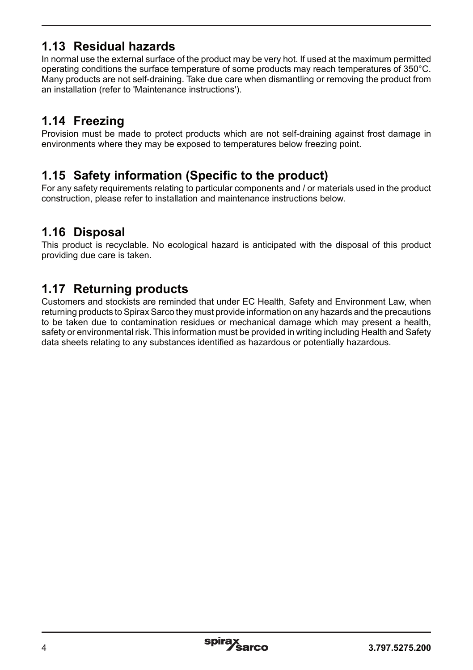## **1.13 Residual hazards**

In normal use the external surface of the product may be very hot. If used at the maximum permitted operating conditions the surface temperature of some products may reach temperatures of 350°C. Many products are not self-draining. Take due care when dismantling or removing the product from an installation (refer to 'Maintenance instructions').

## **1.14 Freezing**

Provision must be made to protect products which are not self-draining against frost damage in environments where they may be exposed to temperatures below freezing point.

## **1.15 Safety information (Specific to the product)**

For any safety requirements relating to particular components and / or materials used in the product construction, please refer to installation and maintenance instructions below.

## **1.16 Disposal**

This product is recyclable. No ecological hazard is anticipated with the disposal of this product providing due care is taken.

## **1.17 Returning products**

Customers and stockists are reminded that under EC Health, Safety and Environment Law, when returning products to Spirax Sarco they must provide information on any hazards and the precautions to be taken due to contamination residues or mechanical damage which may present a health, safety or environmental risk. This information must be provided in writing including Health and Safety data sheets relating to any substances identified as hazardous or potentially hazardous.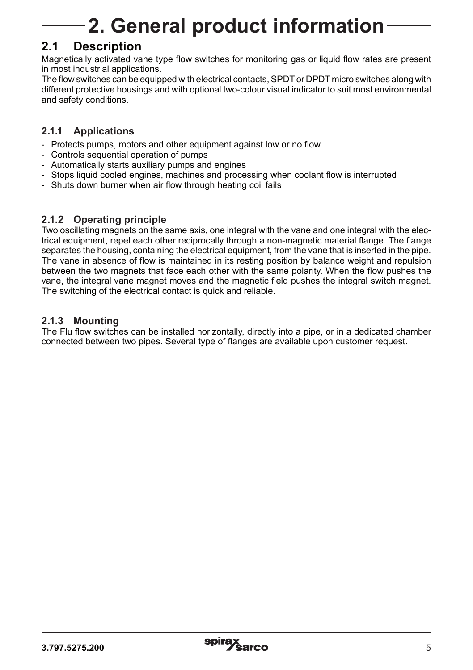# **2. General product information**

## **2.1 Description**

Magnetically activated vane type flow switches for monitoring gas or liquid flow rates are present in most industrial applications.

The flow switches can be equipped with electrical contacts, SPDT or DPDT micro switches along with different protective housings and with optional two-colour visual indicator to suit most environmental and safety conditions.

#### **2.1.1 Applications**

- Protects pumps, motors and other equipment against low or no flow
- Controls sequential operation of pumps
- Automatically starts auxiliary pumps and engines
- Stops liquid cooled engines, machines and processing when coolant flow is interrupted
- Shuts down burner when air flow through heating coil fails

#### **2.1.2 Operating principle**

Two oscillating magnets on the same axis, one integral with the vane and one integral with the electrical equipment, repel each other reciprocally through a non-magnetic material flange. The flange separates the housing, containing the electrical equipment, from the vane that is inserted in the pipe. The vane in absence of flow is maintained in its resting position by balance weight and repulsion between the two magnets that face each other with the same polarity. When the flow pushes the vane, the integral vane magnet moves and the magnetic field pushes the integral switch magnet. The switching of the electrical contact is quick and reliable.

#### **2.1.3 Mounting**

The Flu flow switches can be installed horizontally, directly into a pipe, or in a dedicated chamber connected between two pipes. Several type of flanges are available upon customer request.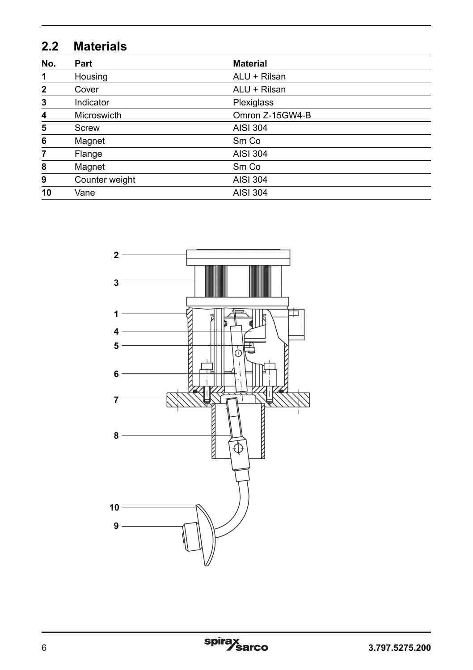# **2.2 Materials**

| No.          | Part           | <b>Material</b> |  |  |
|--------------|----------------|-----------------|--|--|
| 1            | Housing        | ALU + Rilsan    |  |  |
| $\mathbf{2}$ | Cover          | ALU + Rilsan    |  |  |
| 3            | Indicator      | Plexiglass      |  |  |
| 4            | Microswicth    | Omron Z-15GW4-B |  |  |
| 5            | Screw          | AISI 304        |  |  |
| 6            | Magnet         | Sm Co           |  |  |
| 7            | Flange         | AISI 304        |  |  |
| 8            | Magnet         | Sm Co           |  |  |
| 9            | Counter weight | <b>AISI 304</b> |  |  |
| 10           | Vane           | <b>AISI 304</b> |  |  |



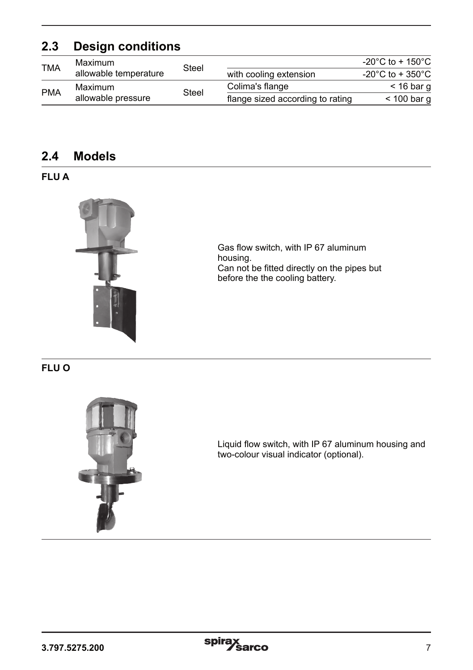## **2.3 Design conditions**

| <b>TMA</b> | Maximum               |       |                                  | -20 $^{\circ}$ C to + 150 $^{\circ}$ C |
|------------|-----------------------|-------|----------------------------------|----------------------------------------|
|            | allowable temperature | Steel | with cooling extension           | -20 $^{\circ}$ C to + 350 $^{\circ}$ C |
| <b>PMA</b> | Maximum               | Steel | Colima's flange                  | $<$ 16 bar q                           |
|            | allowable pressure    |       | flange sized according to rating | $<$ 100 bar g                          |

## **2.4 Models**

#### **FLU A**



Gas flow switch, with IP 67 aluminum housing. Can not be fitted directly on the pipes but before the the cooling battery.

#### **FLU O**



Liquid flow switch, with IP 67 aluminum housing and two-colour visual indicator (optional).

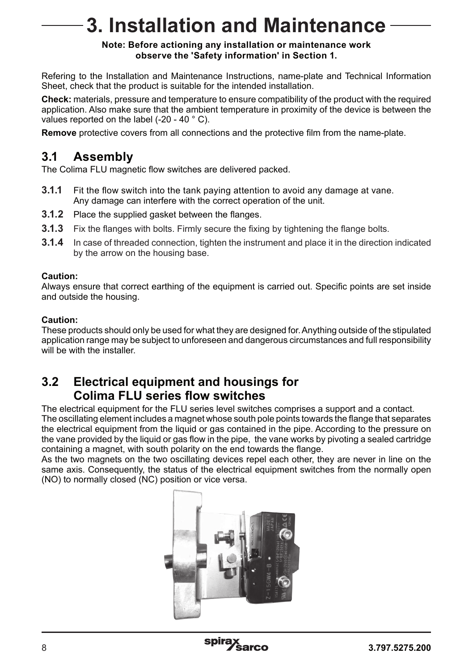# **3. Installation and Maintenance**

#### **Note: Before actioning any installation or maintenance work observe the 'Safety information' in Section 1.**

Refering to the Installation and Maintenance Instructions, name-plate and Technical Information Sheet, check that the product is suitable for the intended installation.

**Check:** materials, pressure and temperature to ensure compatibility of the product with the required application. Also make sure that the ambient temperature in proximity of the device is between the values reported on the label (-20 - 40 ° C).

**Remove** protective covers from all connections and the protective film from the name-plate.

### **3.1 Assembly**

The Colima FLU magnetic flow switches are delivered packed.

- **3.1.1** Fit the flow switch into the tank paying attention to avoid any damage at vane. Any damage can interfere with the correct operation of the unit.
- **3.1.2** Place the supplied gasket between the flanges.
- **3.1.3** Fix the flanges with bolts. Firmly secure the fixing by tightening the flange bolts.
- **3.1.4** In case of threaded connection, tighten the instrument and place it in the direction indicated by the arrow on the housing base.

#### **Caution:**

Always ensure that correct earthing of the equipment is carried out. Specific points are set inside and outside the housing.

#### **Caution:**

These products should only be used for what they are designed for. Anything outside of the stipulated application range may be subject to unforeseen and dangerous circumstances and full responsibility will be with the installer

### **3.2 Electrical equipment and housings for Colima FLU series flow switches**

The electrical equipment for the FLU series level switches comprises a support and a contact. The oscillating element includes a magnet whose south pole points towards the flange that separates the electrical equipment from the liquid or gas contained in the pipe. According to the pressure on the vane provided by the liquid or gas flow in the pipe, the vane works by pivoting a sealed cartridge containing a magnet, with south polarity on the end towards the flange.

As the two magnets on the two oscillating devices repel each other, they are never in line on the same axis. Consequently, the status of the electrical equipment switches from the normally open (NO) to normally closed (NC) position or vice versa.



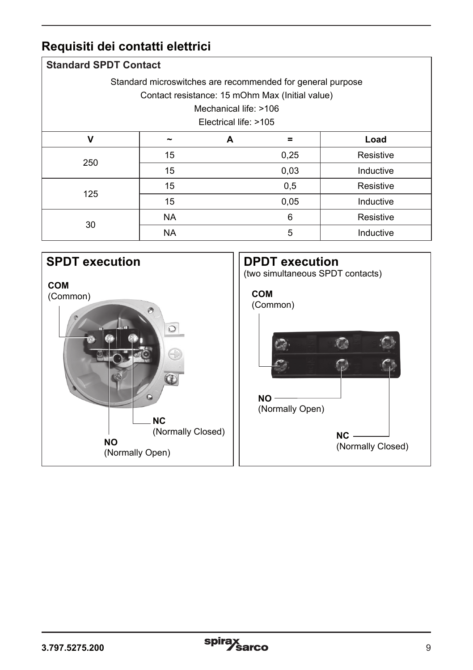## **Requisiti dei contatti elettrici**

| <b>Standard SPDT Contact</b>                               |           |   |      |           |  |  |  |  |
|------------------------------------------------------------|-----------|---|------|-----------|--|--|--|--|
| Standard microswitches are recommended for general purpose |           |   |      |           |  |  |  |  |
| Contact resistance: 15 mOhm Max (Initial value)            |           |   |      |           |  |  |  |  |
| Mechanical life: >106                                      |           |   |      |           |  |  |  |  |
| Electrical life: >105                                      |           |   |      |           |  |  |  |  |
| $\mathbf v$                                                |           | A | =    | Load      |  |  |  |  |
| 250                                                        | 15        |   | 0,25 | Resistive |  |  |  |  |
|                                                            | 15        |   | 0,03 | Inductive |  |  |  |  |
| 125                                                        | 15        |   | 0,5  | Resistive |  |  |  |  |
|                                                            | 15        |   | 0.05 | Inductive |  |  |  |  |
| 30                                                         | <b>NA</b> |   | 6    | Resistive |  |  |  |  |
|                                                            | <b>NA</b> |   | 5    | Inductive |  |  |  |  |

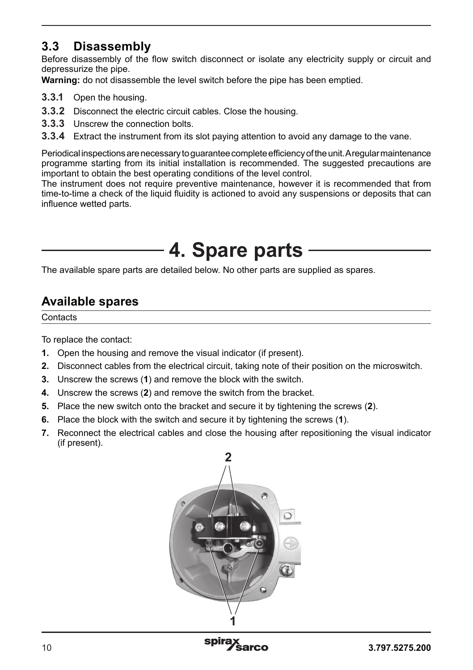## **3.3 Disassembly**

Before disassembly of the flow switch disconnect or isolate any electricity supply or circuit and depressurize the pipe.

**Warning:** do not disassemble the level switch before the pipe has been emptied.

- **3.3.1** Open the housing.
- **3.3.2** Disconnect the electric circuit cables. Close the housing.
- **3.3.3** Unscrew the connection bolts.
- **3.3.4** Extract the instrument from its slot paying attention to avoid any damage to the vane.

Periodical inspections are necessary to guarantee complete efficiency of the unit. A regular maintenance programme starting from its initial installation is recommended. The suggested precautions are important to obtain the best operating conditions of the level control.

The instrument does not require preventive maintenance, however it is recommended that from time-to-time a check of the liquid fluidity is actioned to avoid any suspensions or deposits that can influence wetted parts.

# **4. Spare parts**

The available spare parts are detailed below. No other parts are supplied as spares.

## **Available spares**

**Contacts** 

To replace the contact:

- **1.** Open the housing and remove the visual indicator (if present).
- **2.** Disconnect cables from the electrical circuit, taking note of their position on the microswitch.
- **3.** Unscrew the screws (**1**) and remove the block with the switch.
- **4.** Unscrew the screws (**2**) and remove the switch from the bracket.
- **5.** Place the new switch onto the bracket and secure it by tightening the screws (**2**).
- **6.** Place the block with the switch and secure it by tightening the screws (**1**).
- **7.** Reconnect the electrical cables and close the housing after repositioning the visual indicator (if present).

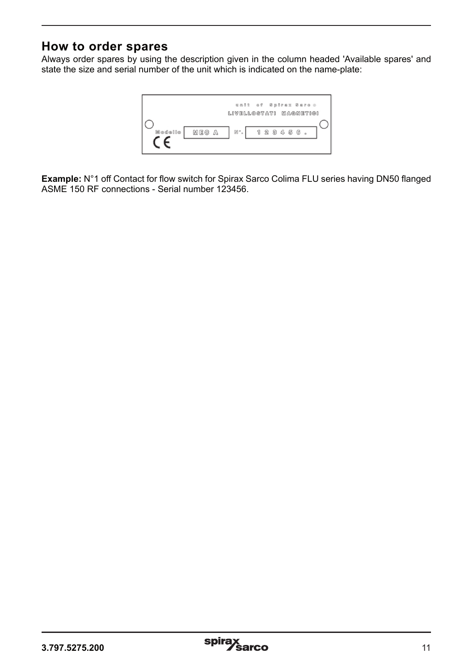## **How to order spares**

Always order spares by using the description given in the column headed 'Available spares' and state the size and serial number of the unit which is indicated on the name-plate:



**Example:** N°1 off Contact for flow switch for Spirax Sarco Colima FLU series having DN50 flanged ASME 150 RF connections - Serial number 123456.